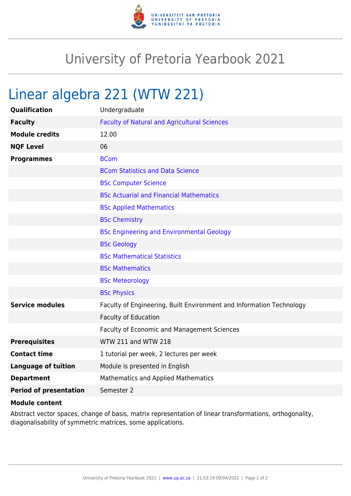

## University of Pretoria Yearbook 2021

## Linear algebra 221 (WTW 221)

| Qualification                 | Undergraduate                                                        |
|-------------------------------|----------------------------------------------------------------------|
| <b>Faculty</b>                | <b>Faculty of Natural and Agricultural Sciences</b>                  |
| <b>Module credits</b>         | 12.00                                                                |
| <b>NQF Level</b>              | 06                                                                   |
| <b>Programmes</b>             | <b>BCom</b>                                                          |
|                               | <b>BCom Statistics and Data Science</b>                              |
|                               | <b>BSc Computer Science</b>                                          |
|                               | <b>BSc Actuarial and Financial Mathematics</b>                       |
|                               | <b>BSc Applied Mathematics</b>                                       |
|                               | <b>BSc Chemistry</b>                                                 |
|                               | <b>BSc Engineering and Environmental Geology</b>                     |
|                               | <b>BSc Geology</b>                                                   |
|                               | <b>BSc Mathematical Statistics</b>                                   |
|                               | <b>BSc Mathematics</b>                                               |
|                               | <b>BSc Meteorology</b>                                               |
|                               | <b>BSc Physics</b>                                                   |
| <b>Service modules</b>        | Faculty of Engineering, Built Environment and Information Technology |
|                               | <b>Faculty of Education</b>                                          |
|                               | <b>Faculty of Economic and Management Sciences</b>                   |
| <b>Prerequisites</b>          | <b>WTW 211 and WTW 218</b>                                           |
| <b>Contact time</b>           | 1 tutorial per week, 2 lectures per week                             |
| <b>Language of tuition</b>    | Module is presented in English                                       |
| <b>Department</b>             | <b>Mathematics and Applied Mathematics</b>                           |
| <b>Period of presentation</b> | Semester 2                                                           |

## **Module content**

Abstract vector spaces, change of basis, matrix representation of linear transformations, orthogonality, diagonalisability of symmetric matrices, some applications.